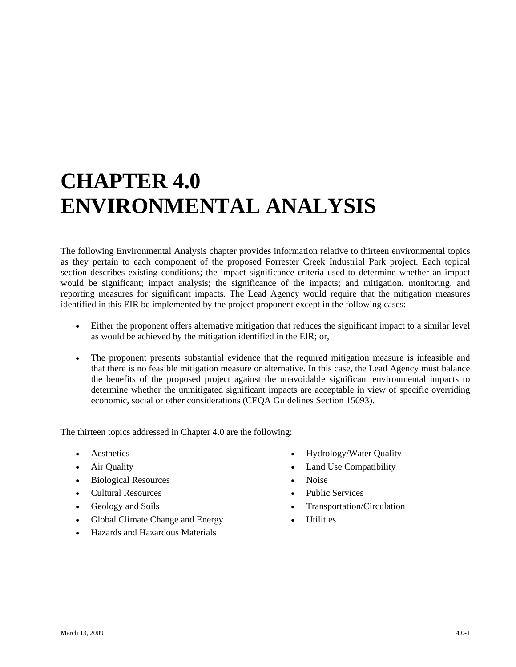## **CHAPTER 4.0 ENVIRONMENTAL ANALYSIS**

The following Environmental Analysis chapter provides information relative to thirteen environmental topics as they pertain to each component of the proposed Forrester Creek Industrial Park project. Each topical section describes existing conditions; the impact significance criteria used to determine whether an impact would be significant; impact analysis; the significance of the impacts; and mitigation, monitoring, and reporting measures for significant impacts. The Lead Agency would require that the mitigation measures identified in this EIR be implemented by the project proponent except in the following cases:

- Either the proponent offers alternative mitigation that reduces the significant impact to a similar level as would be achieved by the mitigation identified in the EIR; or,
- The proponent presents substantial evidence that the required mitigation measure is infeasible and that there is no feasible mitigation measure or alternative. In this case, the Lead Agency must balance the benefits of the proposed project against the unavoidable significant environmental impacts to determine whether the unmitigated significant impacts are acceptable in view of specific overriding economic, social or other considerations (CEQA Guidelines Section 15093).

The thirteen topics addressed in Chapter 4.0 are the following:

- 
- 
- Biological Resources Noise
- Cultural Resources Public Services
- 
- Global Climate Change and Energy Utilities
- Hazards and Hazardous Materials
- extending Aesthetics **•** Hydrology/Water Quality
- Air Quality Land Use Compatibility
	-
	-
- Geology and Soils  **Constanting Constanting Constanting Constanting Constanting Constanting Constanting Constanting Constanting Constanting Constanting Constanting Constanting Constanting Constanting Constanting Constan** 
	-